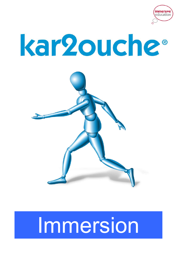





# Immersion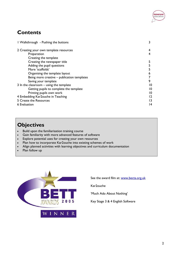

### **Contents**

| I Walkthrough - Pushing the buttons         |    |
|---------------------------------------------|----|
| 2 Creating your own template resources      | 4  |
| Preparation                                 |    |
| Creating the template                       |    |
| Creating the newspaper title                |    |
| Adding the pupil questions                  |    |
| More 'scaffolds'                            |    |
| Organising the template layout              | 6  |
| Being more creative – publication templates |    |
| Saving your template                        | 9  |
| 3 In the classroom $-$ using the template   | 10 |
| Getting pupils to complete the template     | 10 |
| Printing pupils own work                    | 10 |
| 4 Embedding Kar2ouche in Teaching           | 12 |
| 5 Create the Resources                      |    |
| 6 Evaluation                                |    |

### **Objectives**

- Build upon the familiarisation training course
- Gain familiarity with more advanced features of software
- Explore potential uses for creating your own resources
- Plan how to incorporate Kar2ouche into existing schemes of work
- Align planned activities with learning objectives and curriculum documentation
- Plan follow up



See the award film at: www.becta.org.uk

Kar2ouche

'Much Ado About Nothing'

2 0 0 5 Key Stage 3 & 4 English Software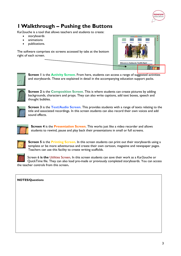

## 1 Walkthrough – Pushing the Buttons

Kar2ouche is a tool that allows teachers and students to create:

- storyboards
- animations
- publications.

The software comprises six screens accessed by tabs at the bottom right of each screen.





Screen I is the **Activity Screen**. From here, students can access a range of suggested activities and storyboards. These are explained in detail in the accompanying education support packs.



Screen 2 is the Composition Screen. This is where students can create pictures by adding backgrounds, characters and props. They can also write captions, add text boxes, speech and thought bubbles.



**Screen 3** is the Text/Audio Screen. This provides students with a range of texts relating to the title and associated recordings. In this screen students can also record their own voices and add sound effects.



**Screen 4** is the **Presentation Screen**. This works just like a video recorder and allows students to rewind, pause and play back their presentations in small or full screens.



**Screen 5** is the Printing Screen. In this screen students can print out their storyboards using a template or be more adventurous and create their own cartoon, magazine and newspaper pages. Teachers can use this facility to create writing scaffolds.



Screen 6 is the Utilities Screen. In this screen students can save their work as a Kar2ouche or QuickTime file. They can also load pre-made or previously completed storyboards. You can access the teacher controls from this screen.

#### NOTES/Questions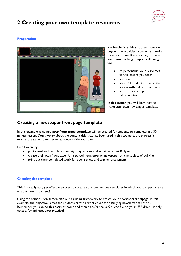

# 2 Creating your own template resources

#### **Preparation**



Kar2ouche is an ideal tool to move on beyond the activities provided and make them your own. It is very easy to create your own teaching templates allowing you

- to personalise your resources to the lessons you teach
- save time
- allow all students to finish the lesson with a desired outcome
- yet preserves pupil differentiation.

In this section you will learn how to make your own newspaper template.

#### Creating a newspaper front page template

In this example, a newspaper front page template will be created for students to complete in a 30 minute lesson. Don't worry about the content title that has been used in this example, the process is exactly the same no matter what content title you have!

#### Pupil activity:

- pupils read and complete a variety of questions and activities about Bullying
- create their own front page for a school newsletter or newspaper on the subject of bullying
- print out their completed work for peer review and teacher assessment

#### Creating the template

This is a really easy yet effective process to create your own unique templates in which you can personalise to your heart's content!

Using the composition screen plan out a guiding framework to create your newspaper frontpage. In this example, the objective is that the students create a front cover for a Bullying newsletter at school. Remember you can do this easily at home and then transfer the kar2ouche file on your USB drive - it only takes a few minutes after practice!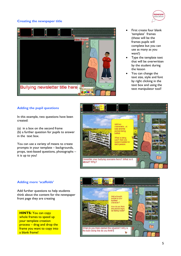#### Creating the newspaper title





- First create four blank 'template' frames (these will be the frames pupils will complete but you can use as many as you want!)
- Type the template text that will be overwritten by the student during the lesson
- You can change the text size, style and font by right clicking in the text box and using the text manipulator tool!

#### Adding the pupil questions

In this example, two questions have been created:

(a) in a box on the second frame (b) a further question for pupils to answer in the text box.

You can use a variety of means to create prompts in your template – backgrounds, props, text-based questions, photographs – it is up to you!



#### Adding more 'scaffolds'

Add further questions to help students think about the content for the newspaper front page they are creating

**HINTS:** You can copy whole frames to speed up your template creation process – drag and drop the frame you want to copy into a blank frame!

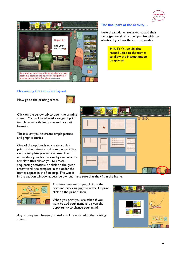



#### The final part of the activity…

Here the students are asked to add their name (personalise) and empathise with the situation by adding their own thoughts.

> HINT: You could also record voice to the frames to allow the instructions to be spoken!

#### Organising the template layout

Now go to the printing screen



Click on the yellow tab to open the printing screen. You will be offered a range of print templates in both landscape and portrait formats.

These allow you to create simple picture and graphic stories.

One of the options is to create a quick print of their storyboard in sequence. Click on the template you want to use. Then either drag your frames one by one into the template (this allows you to create sequencing activities) or click on the green arrow to fill the template in the order the frames appear in the film strip. The words



in the caption window appear below, but make sure that they fit in the frame.



To move between pages, click on the next and previous pages arrows. To print, click on the print button.

When you print you are asked if you want to add your name and given the opportunity to change your mind!

Any subsequent changes you make will be updated in the printing screen.

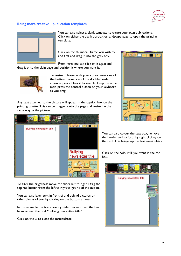

#### Being more creative – publication templates



You can also select a blank template to create your own publications. Click on either the blank portrait or landscape page to open the printing template.

Click on the thumbnail frame you wish to add first and drag it into the grey box.

From here you can click on it again and drag it onto the plain page and position it where you want it.



To resize it, hover with your cursor over one of the bottom corners until the double-headed arrow appears. Drag it to size. To keep the same ratio press the control button on your keyboard as you drag.

Any text attached to the picture will appear in the caption box on the printing palette. This can be dragged onto the page and resized in the same way as the picture.



To alter the brightness move the slider left to right. Drag the top red button from the left to right to get rid of the outline.

You can also layer text in front of and behind pictures or other blocks of text by clicking on the bottom arrows.

In this example the transparency slider has removed the box from around the text "Bullying newsletter title"

Click on the X to close the manipulator.



You can also colour the text box, remove the border and so forth by right clicking on the text. This brings up the text manipulator.

Click on the colour fill you want in the top box.

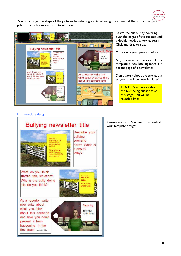You can change the shape of the pictures by selecting a cut-out using the arrows at the top of the print palette then clicking on the cut-out image.



Resize the cut out by hovering over the edges of the cut-out until a double-headed arrow appears. Click and drag to size.

**immersive**<br>education

Move onto your page as before.

As you can see in this example the template is now looking more like a front page of a newsletter

Don't worry about the text at this stage – all will be revealed later!

**HINT: Don't worry about** the text being questions at this stage  $-$  all will be revealed later!

Final template design



Congratulations! You have now finished your template design!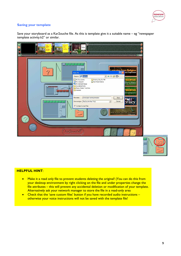

#### Saving your template

Save your storyboard as a Kar2ouche file. As this is template give it a suitable name – eg "newspaper template activity.k2" or similar.



#### HELPFUL HINT:

- Make it a read only file to prevent students deleting the original! (You can do this from your desktop environment by right clicking on the file and under properties change the file attributes – this will prevent any accidental deletion or modification of your template. Alternatively ask your network manager to store the file in a read-only area
- Check that the 'save custom files' button if you have recorded audio instructions otherwise your voice instructions will not be saved with the template file!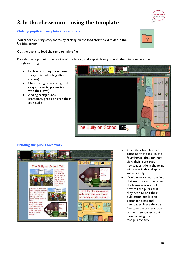# 3. In the classroom – using the template

#### Getting pupils to complete the template

You canoad existing storyboards by clicking on the load storyboard folder in the Utilities screen.

Get the pupils to load the same template file.

Provide the pupils with the outline of the lesson, and explain how you wish them to complete the storyboard – eg

 $\blacksquare$ 

I think that Louisa always gets what she wants and

she really needs to share.

Report by

- Explain how they should use sticky notes (deleting after reading)
- Overwriting pre-existing text or questions (replacing text with their own)
- Adding backgrounds, characters, props or even their own audio

Printing the pupils own work

................

ns as if this has been going on for some<br>ime. On a school trip

ere was only one atering can and<br>ouisa never wants to

think that Louisa ways gets what she wants and she<br>really needs to share. Billy needs to stand up for

The Bully on School Trip

sa wants watering in as there only one of<br>is school in to a corn **Billy** h asked

,,,,,,,,,,

- Once they have finished completing the task in the four frames, they can now view their front page newspaper title in the print window – it should appear automatically!
- Don't worry about the fact that text may not be fitting the boxes – you should now tell the pupils that they need to edit their publication just like an editor for a national newspaper. Here they can fine tune the presentation of their newspaper front page by using the manipulator tool.





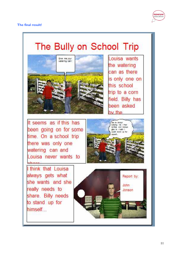

# The Bully on School Trip



Louisa wants the watering can as there is only one on this school trip to a corn field. Billy has been asked by the

It seems as if this has been going on for some time. On a school trip there was only one watering can and Louisa never wants to



I think that Louisa always gets what she wants and she really needs to share. Billy needs to stand up for himself...

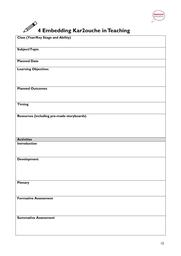

# $\mathscr{D}$  4 Embedding Kar2ouche in Teaching

| <b>Class (Year/Key Stage and Ability)</b>  |
|--------------------------------------------|
| Subject/Topic                              |
| <b>Planned Date</b>                        |
| <b>Learning Objectives</b>                 |
| <b>Planned Outcomes</b>                    |
| <b>Timing</b>                              |
| Resources (including pre-made storyboards) |
| <b>Activities</b>                          |
| Introduction                               |
| <b>Development</b>                         |
| Plenary                                    |
| <b>Formative Assessment</b>                |
| <b>Summative Assessment</b>                |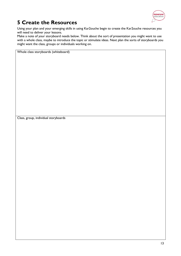

# 5 Create the Resources

Using your plan and your emerging skills in using Kar2ouche begin to create the Kar2ouche resources you will need to deliver your lessons.

Make a note of your storyboard needs below. Think about the sort of presentation you might want to use with a whole class, maybe to introduce the topic or stimulate ideas. Next plan the sorts of storyboards you might want the class, groups or individuals working on.

Whole class storyboards (whiteboard)

Class, group, individual storyboards